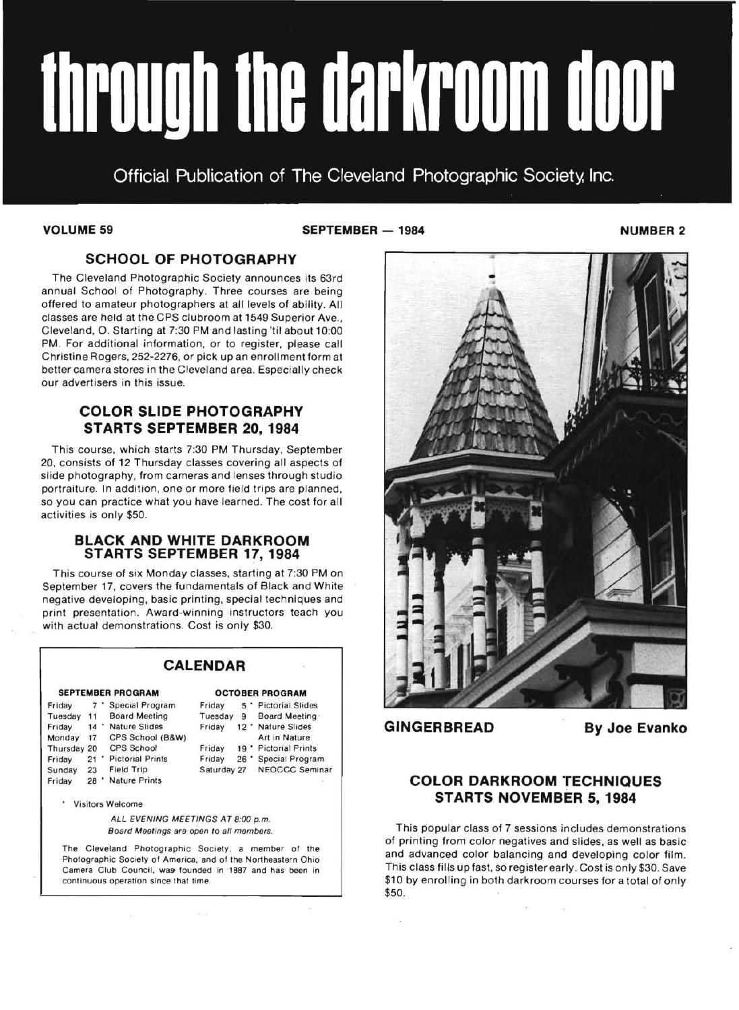# through the darkroom door

Official Publication of The Cleveland Photographic Society, Inc.

**VOLUME 59 NUMBER 2** SEPTEMBER -- 1984 NUMBER 2

## **SCHOOL OF PHOTOGRAPHY**

The Cleveland Photographic Society announces its 63rd annual School of Photography. Three courses are being offered to amateur photographers at all levels of ability. All classes are held at the CPS clubroom at 1549 Superior Ave., Cleveland, O. Starting at 7:30 PM and lasting 'til about 10:00 PM. For additional information, or to register, please call Christine Rogers, 252-2276, or pick up an enrollment form at better camera stores in the Cleveland area. Especialiy check our advertisers in this issue.

### **COLOR SLIDE PHOTOGRAPHY STARTS SEPTEMBER 20, 1984**

This course, which starts 7:30 PM Thursday, September 20, consists of 12 Thursday classes covering all aspects of slide photography, from cameras and lenses through studio portraiture. In addition, one or more field trips are planned, so you can practice what you have learned. The cost for all activities is only \$50.

### **BLACK AND WHITE DARKROOM STARTS SEPTEMBER 17, 1984**

This course of six Monday classes, starting at 7:30 PM on September 17, covers the fundamentals of Black and White negative developing, basic printing, special techniques and print presentation. Award-winning instructors teach you with actual demonstrations. Cost is only \$30.

### **CALENDAR**  SEPTEMBER PROGRAM **OCTOBER PROGRAM** Friday 7 \* Special Program Friday 5 \* Pictorial Slides<br>Tuesday 11 Board Meeting Tuesday 9 Board Meeting Tuesday 11 Board Meeting Tuesday 9 Board Meeting Friday 14 Nature Slides Friday 12 Nature Slides<br>Monday 17 CPS School (B&W) Art in Nature Monday 17 CPS School (B&W) Thursday 20 CPS School Friday 19 \* Pictorial Prints<br>Friday 21 \* Pictorial Prints Friday 26 \* Special Progra Friday 21' Pictorial Prints Friday 26' Special Program Saturday 27 NEOCCC Seminar Friday 28' Nature Prints Visitors Welcome ALL EVENING MEETINGS AT 8:00 p.m. Board Meetings are open to all members.

The Cleveland Photographic Society, a member of the Photographic Society of America, and of the Northeastern Ohio Camera Club Council, was founded in 1887 and has been in continuous operation since that time.

**ACC** 

 $\sim$ 



嵩

**GINGERBREAD By Joe Evanko** 

### **COLOR DARKROOM TECHNIQUES STARTS NOVEMBER 5, 1984**

This popular class of 7 sessions includes demonstrations of printing from color negatives and slides, as well as basic and advanced color balancing and developing color film. This class fills up fast, so register early. Cost is only \$30. Save \$10 by enrolling in both darkroom courses for a total of only \$50.

 $\sim$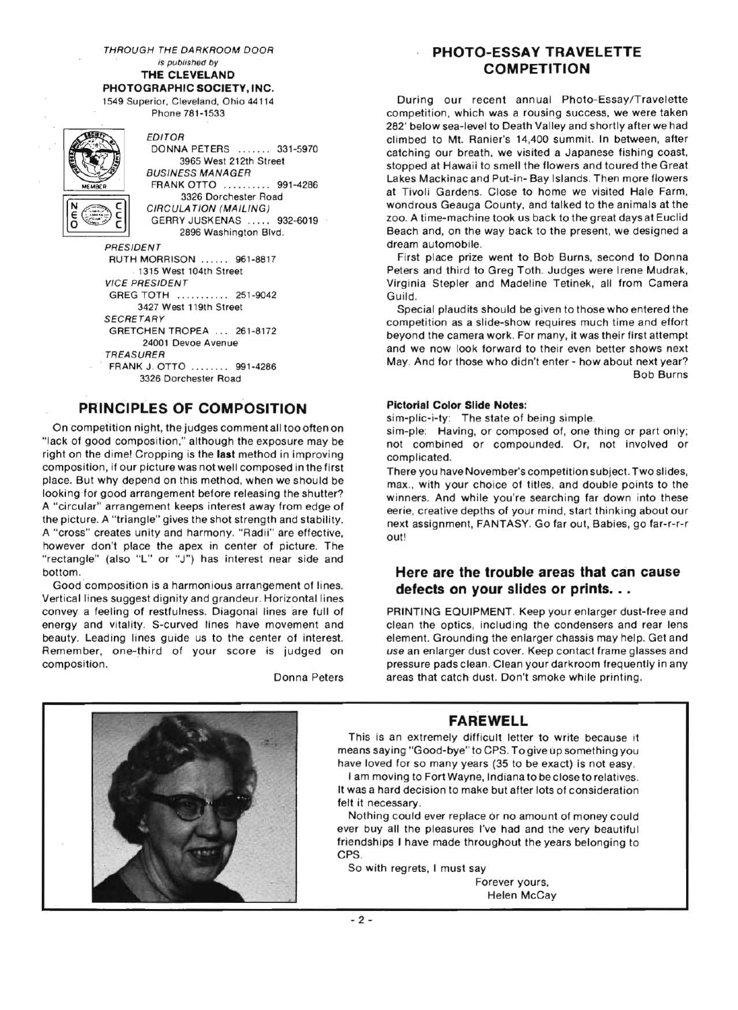is published by **PHOTOGRAPHIC SOCIETY, INC.** 

1549 Superior. Cleveland, Ohio 44114 Phone 781-1533

EDITOR DONNA PETERS ....... 331-5970 3965 West 212th Street BUSINESS MANAGER FRANK OTTO .......... 991-4286 3326 Dorchester Road CIRCULA TION (MAILING) GERRY JUSKENAS ..... 932-6019 2896 Washington Blvd. PRESIDENT RUTH MORRISON ...... 961-8817 1315 West 104th Street VICE PRESIDENT GREG TOTH ...... .... . 251-9042 3427 West 119th Street **SECRETARY** GRETCHEN TROPEA ... 261-8172 24001 Devoe Avenue TREASURER FRANK J. OTTO ........ 991-4286 3326 Dorchester Road

### **PRINCIPLES OF COMPOSITION**

On competition night, the judges comment all too often on "lack of good composition," although the exposure may be right on the dime! Cropping is the **last** method in improving composition, if our picture was not well composed in the first place. But why depend on this method, when we should be looking for good arrangement before releasing the shutter? A "circular" arrangement keeps interest away from edge of the picture. A "triangle" gives the shot strength and stability. A "cross" creates unity and harmony. "Radii" are effective, however don't place the apex in center of picture. The "rectangle" (also "L" or "J") has interest near side and bottom.

Good composition is a harmonious arrangement of lines. Vertical lines suggest dignity and grandeur. Horizontal lines convey a feeling of restfulness. Diagonal lines are full of energy and vitality. S-curved lines have movement and beauty. Leading lines guide us to the center of interest. Remember, one-third of your score is judged on composition.

Donna Peters

### THROUGH THE DARKROOM DOOR **PHOTO-ESSAY TRAVELETTE**  THE CLEVELAND *COMPETITION*

During our recent annual Photo-Essay/Travelette competition, which was a rousing success, we were taken 282' below sea-level to Death Valley and shortly after we had climbed to Mt. Ranier's 14,400 summit. In between, after catching our breath, we visited a Japanese fishing coast, stopped at Hawaii to smell the flowers and toured the Great Lakes Mackinac and Put-in- Bay Islands. Then more flowers at Tivoli Gardens. Close to home we visited Hale Farm, wondrous Geauga County, and talked to the animals at the zoo. A time-machine took us back to the great days at Euclid Beach and, on the way back to the present, we designed a dream automobile.

First place prize went to Bob Burns, second to Donna Peters and third to Greg Toth. Judges were Irene Mudrak, Virginia Stepler and Madeline Tetinek, all from Camera Guild.

Special plaudits should be given to those who entered the competition as a slide-show requires much time and effort beyond the camera work. For many, it was their first attempt and we now look forward to their even better shows next May. And for those who didn't enter - how about next year? Bob Burns

### **Pictorial Color Slide Notes:**

sim-plic-i-ty: The state of being simple.

sim-ple: Having, or composed of, one thing or part only; not combined or compounded. Or, not involved or complicated.

There you have November's competition subject. Two slides, max., with your choice of titles, and double points to the winners. And while you're searching far down into these eerie, creative depths of your mind, start thinking about our next assignment, FANTASY. Go far out, Babies, go far-r-r-r out!

### **Here are the trouble areas that can cause**  defects on your slides or prints. . .

PRINTING EQUIPMENT. Keep your enlarger dust-free and clean the optics, including the condensers and rear lens element. Grounding the enlarger chassis may help. Get and *use* an enlarger dust cover. Keep contact frame glasses and pressure pads clean. Clean your darkroom frequently in any areas that catch dust. Don't smoke while printing.



### **FAREWELL**

This is an extremely difficult letter to write because it means saying "Good-bye" to CPS. To give up something you have loved for so many years (35 to be exact) is not easy.

I am moving to Fort Wayne, Indiana to be close to relatives. It was a hard decision to make but after lots of consideration felt it necessary.

Nothing could ever replace or no amount of money could ever buy all the pleasures I've had and the very beautiful friendships I have made throughout the years belonging to CPS.

So with regrets, I must say

Forever yours, Helen McCay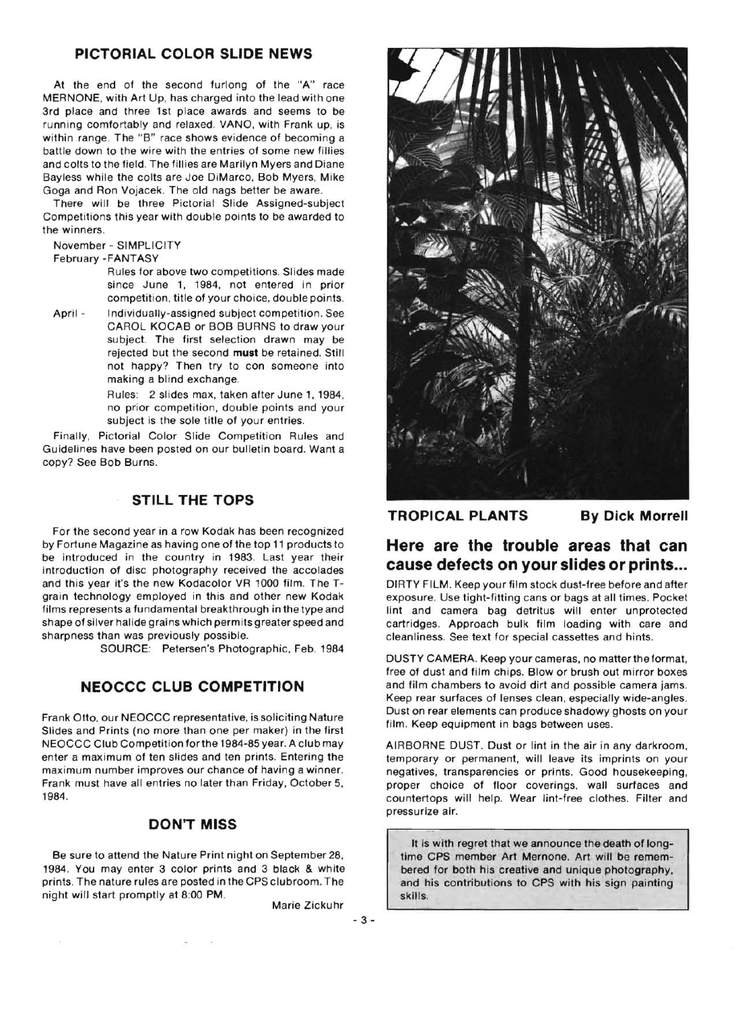### **PICTORIAL COLOR SLIDE NEWS**

At the end of the second furlong of the "A" race MERNONE, with Art Up, has charged into the lead with one 3rd place and three 1st place awards and seems to be running comfortably and relaxed. VANO, with Frank up, is within range. The "B" race shows evidence of becoming a battle down to the wire with the entries of some new fillies and colts to the field. The fillies are Marilyn Myers and Diane Bayless while the colts are Joe DiMarco, Bob Myers, Mike Goga and Ron Vojacek. The old nags better be aware.

There will be three Pictorial Slide Assigned-subject Competitions this year with double points to be awarded to the winners.

November - SIMPLICITY

### February -FANTASY

Rules for above two competitions. Slides made since June 1, 1984, not entered in prior competition, title of your choice, double points.

April - Individually-assigned subject competition. See CAROL KOCAB or BOB BURNS to draw your subject. The first selection drawn may be rejected but the second **must** be retained. Still not happy? Then try to con someone into making a blind exchange.

> Rules: 2 slides max, taken after June 1,1984, no prior competition, double points and your subject is the sole title of your entries.

Finally, Pictorial Color Slide Competition Rules and Guidelines have been posted on our bulletin board. Want a copy? See Bob Burns.

### **STILL THE TOPS**

For the second year in a row Kodak has been recognized by Fortune Magazine as having one of the top 11 products to be introduced in the country in 1983. Last year their introduction of disc photography received the accolades and this year it's the new Kodacolor VR 1000 film. The Tgrain technology employed in this and other new Kodak films represents a fundamental breakthrough in the type and shape of silver halide grains which permits greater speed and sharpness than was previously possible.

SOURCE: Petersen's Photographic, Feb. 1984

### **NEOCCC CLUB COMPETITION**

Frank Otto, our NEOCCC representative, is soliciting Nature Slides and Prints (no more than one per maker) in the first NEOCCC Club Competition forthe 1984-85 year. A club may enter a maximum of ten slides and ten prints. Entering the maximum number improves our chance of having a winner. Frank must have all entries no later than Friday, October 5, 1984.

### **DON'T MISS**

Be sure to attend the Nature Print night on September 28, 1984. You may enter 3 color prints and 3 black & white prints. The nature rules are posted in the CPS clubroom. The night will start promptly at 8:00 PM.

Marie Zickuhr

 $-3-$ 



**TROPICAL PLANTS By Dick Morrell** 

# **Here are the trouble areas that can cause defects on your slides or prints ...**

DIRTY FILM. Keep your film stock dust-free before and after exposure. Use tight-fitting cans or bags at all times. Pocket lint and camera bag detritus will enter unprotected cartridges. Approach bulk film loading with care and cleanliness. See text for special cassettes and hints.

DUSTY CAMERA. Keep your cameras, no matter the format, free of dust and film chips. Blow or brush out mirror boxes and film chambers to avoid dirt and possible camera jams. Keep rear surfaces of lenses clean, especially wide-angles. Dust on rear elements can produce shadowy ghosts on your film. Keep equipment in bags between uses.

AIRBORNE DUST. Dust or lint in the air in any darkroom, temporary or permanent, will leave its imprints on your negatives, transparencies or prints. Good housekeeping, proper choice of floor coverings, wall surfaces and countertops will help. Wear lint-free clothes. Filter and pressurize air.

It is with regret that we announce the death of longtime CPS member Art Mernone. Art will be remembered for both his creative and unique photography, and his contributions to CPS with his sign painting skills.